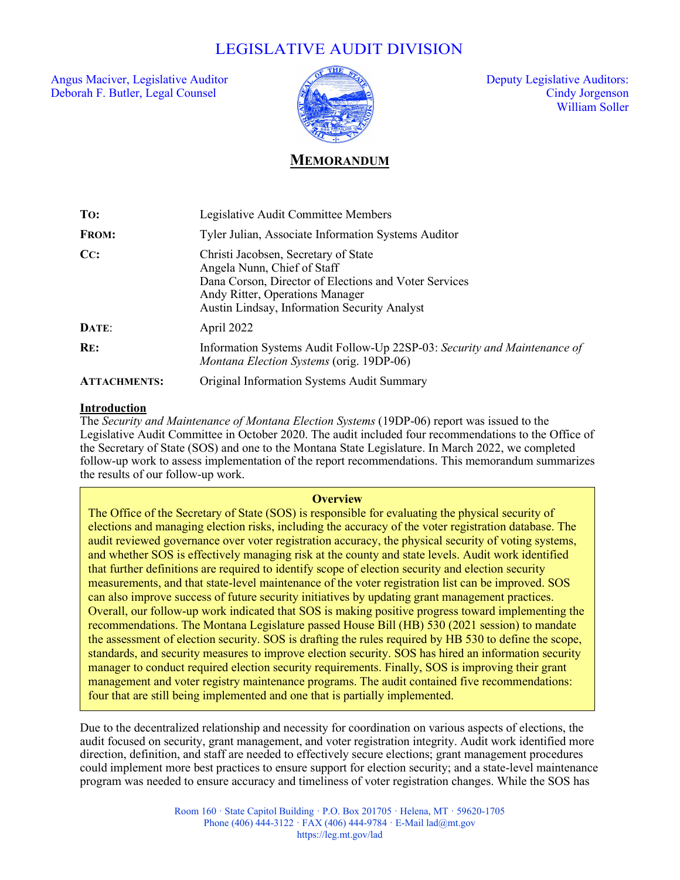# LEGISLATIVE AUDIT DIVISION

Angus Maciver, Legislative Auditor  $\sqrt{2}$  and  $\sqrt{2}$  Deputy Legislative Auditors: Deborah F. Butler, Legal Counsel Cindy Jorgenson



William Soller

# **MEMORANDUM**

| To:                 | Legislative Audit Committee Members                                                                                                                                                                             |
|---------------------|-----------------------------------------------------------------------------------------------------------------------------------------------------------------------------------------------------------------|
| <b>FROM:</b>        | Tyler Julian, Associate Information Systems Auditor                                                                                                                                                             |
| CC:                 | Christi Jacobsen, Secretary of State<br>Angela Nunn, Chief of Staff<br>Dana Corson, Director of Elections and Voter Services<br>Andy Ritter, Operations Manager<br>Austin Lindsay, Information Security Analyst |
| DATE:               | April 2022                                                                                                                                                                                                      |
| RE:                 | Information Systems Audit Follow-Up 22SP-03: Security and Maintenance of<br>Montana Election Systems (orig. 19DP-06)                                                                                            |
| <b>ATTACHMENTS:</b> | Original Information Systems Audit Summary                                                                                                                                                                      |

#### **Introduction**

Ī

The *Security and Maintenance of Montana Election Systems* (19DP-06) report was issued to the Legislative Audit Committee in October 2020. The audit included four recommendations to the Office of the Secretary of State (SOS) and one to the Montana State Legislature. In March 2022, we completed follow-up work to assess implementation of the report recommendations. This memorandum summarizes the results of our follow-up work.

#### **Overview**

**Background** standards, and security measures to improve election security. SOS has hired an information security standards, and security measures to improve election security. SOS has hired an information security Manuarus, and security measures to improve election security. SOS has lined an information security manager to conduct required election security requirements. Finally, SOS is improving their grant  $\frac{1}{2}$  manager to conduct required election security requirements. Finally, SOS is improving then grain management and voter registry maintenance programs. The audit contained five recommendations:<br>four that are still heine implemented and ane that is neutrally implemented. four that are still being implemented and one that is partially implemented. The Office of the Secretary of State (SOS) is responsible for evaluating the physical security of elections and managing election risks, including the accuracy of the voter registration database. The audit reviewed governance over voter registration accuracy, the physical security of voting systems, and whether SOS is effectively managing risk at the county and state levels. Audit work identified that further definitions are required to identify scope of election security and election security measurements, and that state-level maintenance of the voter registration list can be improved. SOS can also improve success of future security initiatives by updating grant management practices. Overall, our follow-up work indicated that SOS is making positive progress toward implementing the recommendations. The Montana Legislature passed House Bill (HB) 530 (2021 session) to mandate the assessment of election security. SOS is drafting the rules required by HB 530 to define the scope,

execution of elections, maintaining voter registrations, maintaining voter registration in the international co<br>The international countries, is a counter of the international countries, is a countries, in the international Due to the decentralized relationship and necessity for coordination on various aspects of elections, the audit focused on security, grant management, and voter registration integrity. Audit work identified more direction, definition, and staff are needed to effectively secure elections; grant management procedures could implement more best practices to ensure support for election security; and a state-level maintenance program was needed to ensure accuracy and timeliness of voter registration changes. While the SOS has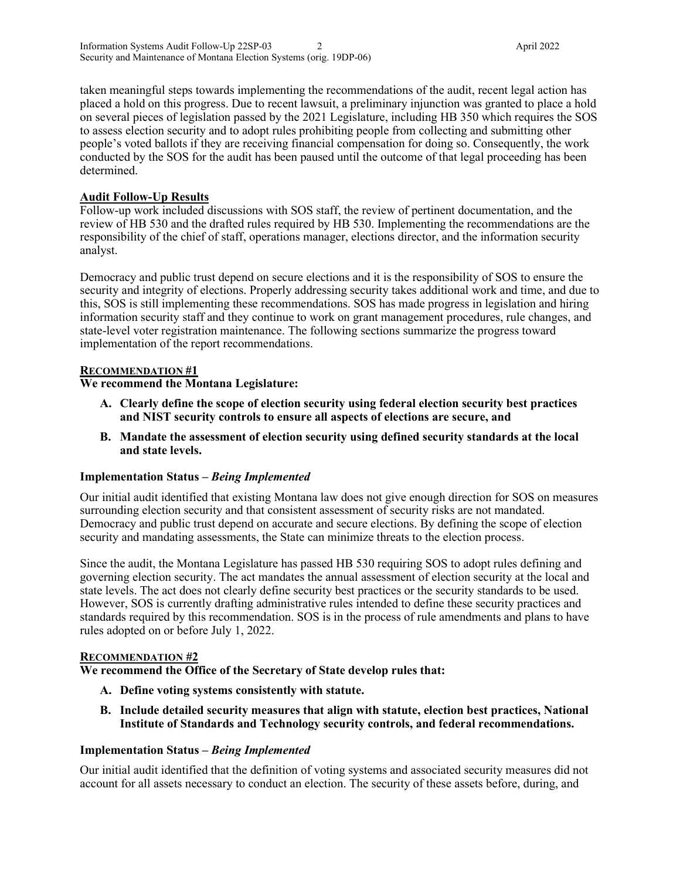taken meaningful steps towards implementing the recommendations of the audit, recent legal action has placed a hold on this progress. Due to recent lawsuit, a preliminary injunction was granted to place a hold on several pieces of legislation passed by the 2021 Legislature, including HB 350 which requires the SOS to assess election security and to adopt rules prohibiting people from collecting and submitting other people's voted ballots if they are receiving financial compensation for doing so. Consequently, the work conducted by the SOS for the audit has been paused until the outcome of that legal proceeding has been determined.

#### **Audit Follow-Up Results**

Follow-up work included discussions with SOS staff, the review of pertinent documentation, and the review of HB 530 and the drafted rules required by HB 530. Implementing the recommendations are the responsibility of the chief of staff, operations manager, elections director, and the information security analyst.

Democracy and public trust depend on secure elections and it is the responsibility of SOS to ensure the security and integrity of elections. Properly addressing security takes additional work and time, and due to this, SOS is still implementing these recommendations. SOS has made progress in legislation and hiring information security staff and they continue to work on grant management procedures, rule changes, and state-level voter registration maintenance. The following sections summarize the progress toward implementation of the report recommendations.

### **RECOMMENDATION #1**

## **We recommend the Montana Legislature:**

- **A. Clearly define the scope of election security using federal election security best practices and NIST security controls to ensure all aspects of elections are secure, and**
- **B. Mandate the assessment of election security using defined security standards at the local and state levels.**

#### **Implementation Status –** *Being Implemented*

Our initial audit identified that existing Montana law does not give enough direction for SOS on measures surrounding election security and that consistent assessment of security risks are not mandated. Democracy and public trust depend on accurate and secure elections. By defining the scope of election security and mandating assessments, the State can minimize threats to the election process.

Since the audit, the Montana Legislature has passed HB 530 requiring SOS to adopt rules defining and governing election security. The act mandates the annual assessment of election security at the local and state levels. The act does not clearly define security best practices or the security standards to be used. However, SOS is currently drafting administrative rules intended to define these security practices and standards required by this recommendation. SOS is in the process of rule amendments and plans to have rules adopted on or before July 1, 2022.

#### **RECOMMENDATION #2**

**We recommend the Office of the Secretary of State develop rules that:**

- **A. Define voting systems consistently with statute.**
- **B. Include detailed security measures that align with statute, election best practices, National Institute of Standards and Technology security controls, and federal recommendations.**

#### **Implementation Status –** *Being Implemented*

Our initial audit identified that the definition of voting systems and associated security measures did not account for all assets necessary to conduct an election. The security of these assets before, during, and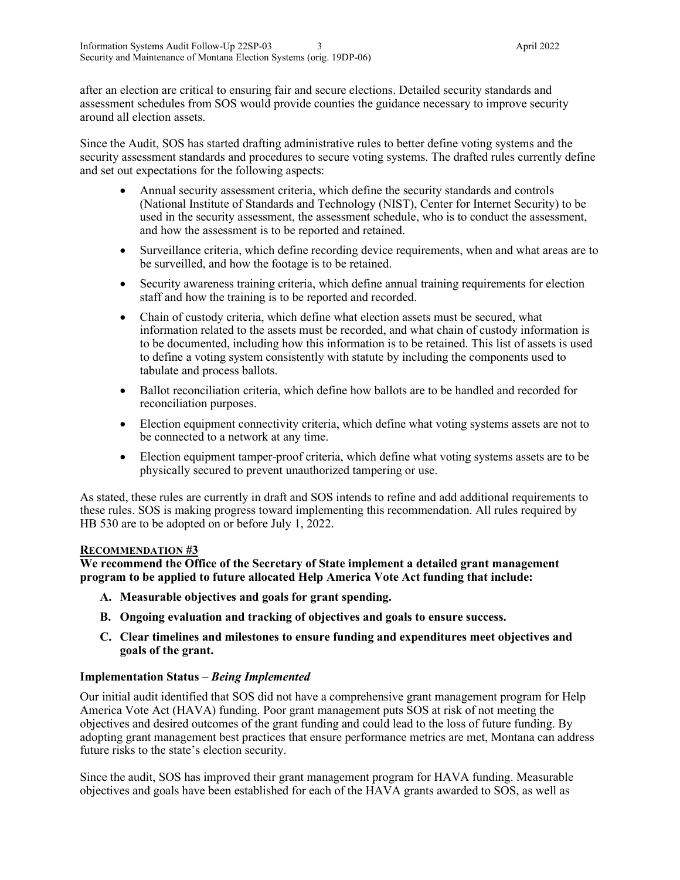after an election are critical to ensuring fair and secure elections. Detailed security standards and assessment schedules from SOS would provide counties the guidance necessary to improve security around all election assets.

Since the Audit, SOS has started drafting administrative rules to better define voting systems and the security assessment standards and procedures to secure voting systems. The drafted rules currently define and set out expectations for the following aspects:

- Annual security assessment criteria, which define the security standards and controls (National Institute of Standards and Technology (NIST), Center for Internet Security) to be used in the security assessment, the assessment schedule, who is to conduct the assessment, and how the assessment is to be reported and retained.
- Surveillance criteria, which define recording device requirements, when and what areas are to be surveilled, and how the footage is to be retained.
- Security awareness training criteria, which define annual training requirements for election staff and how the training is to be reported and recorded.
- Chain of custody criteria, which define what election assets must be secured, what information related to the assets must be recorded, and what chain of custody information is to be documented, including how this information is to be retained. This list of assets is used to define a voting system consistently with statute by including the components used to tabulate and process ballots.
- Ballot reconciliation criteria, which define how ballots are to be handled and recorded for reconciliation purposes.
- Election equipment connectivity criteria, which define what voting systems assets are not to be connected to a network at any time.
- Election equipment tamper-proof criteria, which define what voting systems assets are to be physically secured to prevent unauthorized tampering or use.

As stated, these rules are currently in draft and SOS intends to refine and add additional requirements to these rules. SOS is making progress toward implementing this recommendation. All rules required by HB 530 are to be adopted on or before July 1, 2022.

#### **RECOMMENDATION #3**

**We recommend the Office of the Secretary of State implement a detailed grant management program to be applied to future allocated Help America Vote Act funding that include:**

- **A. Measurable objectives and goals for grant spending.**
- **B. Ongoing evaluation and tracking of objectives and goals to ensure success.**
- **C. Clear timelines and milestones to ensure funding and expenditures meet objectives and goals of the grant.**

#### **Implementation Status –** *Being Implemented*

Our initial audit identified that SOS did not have a comprehensive grant management program for Help America Vote Act (HAVA) funding. Poor grant management puts SOS at risk of not meeting the objectives and desired outcomes of the grant funding and could lead to the loss of future funding. By adopting grant management best practices that ensure performance metrics are met, Montana can address future risks to the state's election security.

Since the audit, SOS has improved their grant management program for HAVA funding. Measurable objectives and goals have been established for each of the HAVA grants awarded to SOS, as well as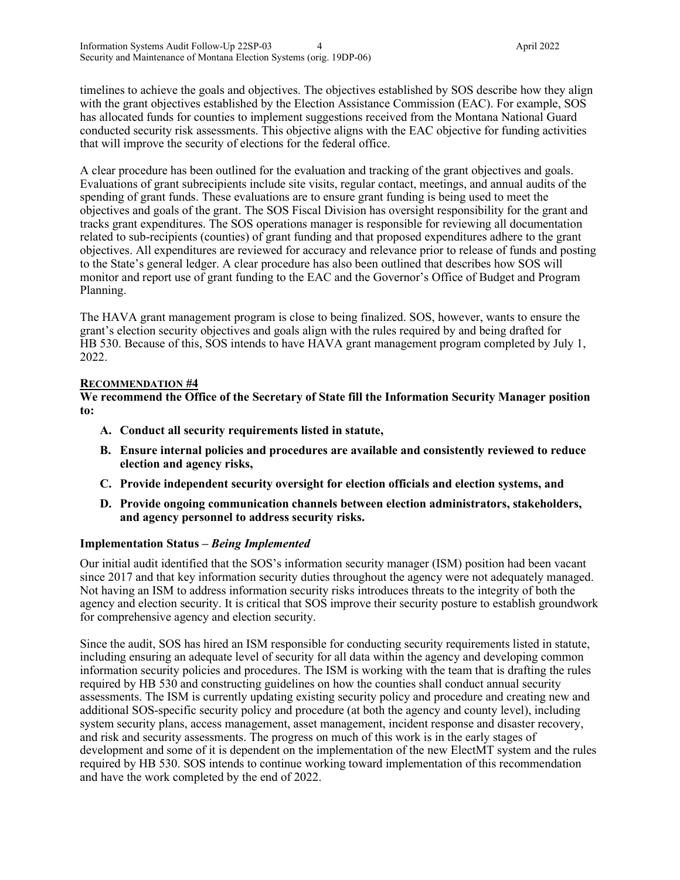timelines to achieve the goals and objectives. The objectives established by SOS describe how they align with the grant objectives established by the Election Assistance Commission (EAC). For example, SOS has allocated funds for counties to implement suggestions received from the Montana National Guard conducted security risk assessments. This objective aligns with the EAC objective for funding activities that will improve the security of elections for the federal office.

A clear procedure has been outlined for the evaluation and tracking of the grant objectives and goals. Evaluations of grant subrecipients include site visits, regular contact, meetings, and annual audits of the spending of grant funds. These evaluations are to ensure grant funding is being used to meet the objectives and goals of the grant. The SOS Fiscal Division has oversight responsibility for the grant and tracks grant expenditures. The SOS operations manager is responsible for reviewing all documentation related to sub-recipients (counties) of grant funding and that proposed expenditures adhere to the grant objectives. All expenditures are reviewed for accuracy and relevance prior to release of funds and posting to the State's general ledger. A clear procedure has also been outlined that describes how SOS will monitor and report use of grant funding to the EAC and the Governor's Office of Budget and Program Planning.

The HAVA grant management program is close to being finalized. SOS, however, wants to ensure the grant's election security objectives and goals align with the rules required by and being drafted for HB 530. Because of this, SOS intends to have HAVA grant management program completed by July 1, 2022.

#### **RECOMMENDATION #4**

**We recommend the Office of the Secretary of State fill the Information Security Manager position to:**

- **A. Conduct all security requirements listed in statute,**
- **B. Ensure internal policies and procedures are available and consistently reviewed to reduce election and agency risks,**
- **C. Provide independent security oversight for election officials and election systems, and**
- **D. Provide ongoing communication channels between election administrators, stakeholders, and agency personnel to address security risks.**

#### **Implementation Status –** *Being Implemented*

Our initial audit identified that the SOS's information security manager (ISM) position had been vacant since 2017 and that key information security duties throughout the agency were not adequately managed. Not having an ISM to address information security risks introduces threats to the integrity of both the agency and election security. It is critical that SOS improve their security posture to establish groundwork for comprehensive agency and election security.

Since the audit, SOS has hired an ISM responsible for conducting security requirements listed in statute, including ensuring an adequate level of security for all data within the agency and developing common information security policies and procedures. The ISM is working with the team that is drafting the rules required by HB 530 and constructing guidelines on how the counties shall conduct annual security assessments. The ISM is currently updating existing security policy and procedure and creating new and additional SOS-specific security policy and procedure (at both the agency and county level), including system security plans, access management, asset management, incident response and disaster recovery, and risk and security assessments. The progress on much of this work is in the early stages of development and some of it is dependent on the implementation of the new ElectMT system and the rules required by HB 530. SOS intends to continue working toward implementation of this recommendation and have the work completed by the end of 2022.